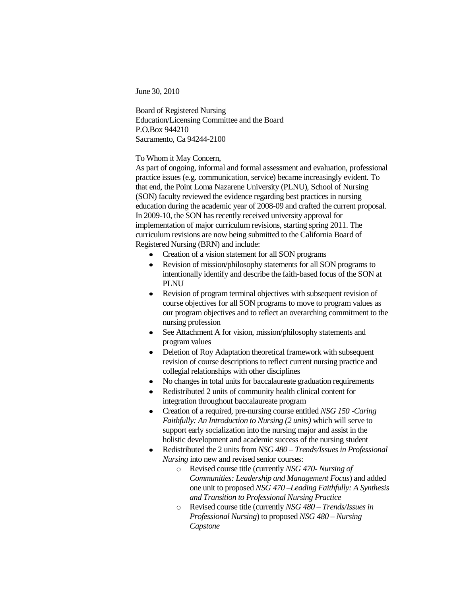June 30, 2010

Board of Registered Nursing Education/Licensing Committee and the Board P.O.Box 944210 Sacramento, Ca 94244-2100

## To Whom it May Concern,

As part of ongoing, informal and formal assessment and evaluation, professional practice issues (e.g. communication, service) became increasingly evident. To that end, the Point Loma Nazarene University (PLNU), School of Nursing (SON) faculty reviewed the evidence regarding best practices in nursing education during the academic year of 2008-09 and crafted the current proposal. In 2009-10, the SON has recently received university approval for implementation of major curriculum revisions, starting spring 2011. The curriculum revisions are now being submitted to the California Board of Registered Nursing (BRN) and include:

- Creation of a vision statement for all SON programs
- Revision of mission/philosophy statements for all SON programs to  $\bullet$ intentionally identify and describe the faith-based focus of the SON at PLNU
- Revision of program terminal objectives with subsequent revision of  $\bullet$ course objectives for all SON programs to move to program values as our program objectives and to reflect an overarching commitment to the nursing profession
- See Attachment A for vision, mission/philosophy statements and  $\bullet$ program values
- Deletion of Roy Adaptation theoretical framework with subsequent revision of course descriptions to reflect current nursing practice and collegial relationships with other disciplines
- No changes in total units for baccalaureate graduation requirements
- Redistributed 2 units of community health clinical content for integration throughout baccalaureate program
- Creation of a required, pre-nursing course entitled *NSG 150 -Caring*   $\bullet$ *Faithfully: An Introduction to Nursing (2 units)* which will serve to support early socialization into the nursing major and assist in the holistic development and academic success of the nursing student
- Redistributed the 2 units from *NSG 480 – Trends/Issues in Professional*   $\bullet$ *Nursing* into new and revised senior courses:
	- o Revised course title (currently *NSG 470- Nursing of Communities: Leadership and Management Focus*) and added one unit to proposed *NSG 470 –Leading Faithfully: A Synthesis and Transition to Professional Nursing Practice*
	- o Revised course title (currently *NSG 480 – Trends/Issues in Professional Nursing*) to proposed *NSG 480 – Nursing Capstone*